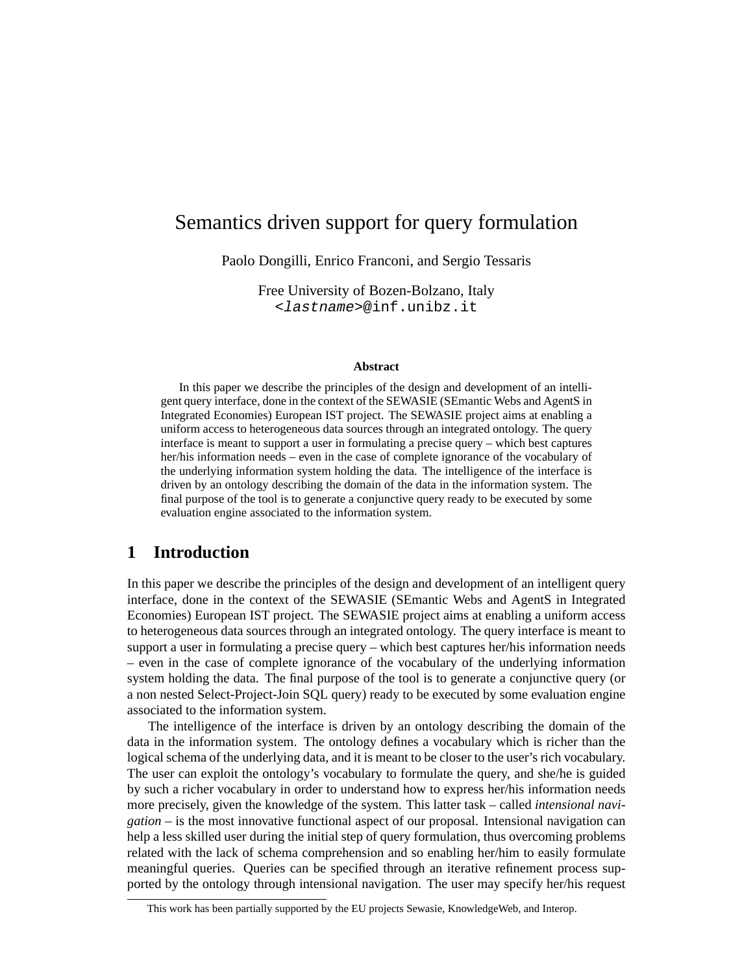# Semantics driven support for query formulation

Paolo Dongilli, Enrico Franconi, and Sergio Tessaris

Free University of Bozen-Bolzano, Italy <lastname>@inf.unibz.it

#### **Abstract**

In this paper we describe the principles of the design and development of an intelligent query interface, done in the context of the SEWASIE (SEmantic Webs and AgentS in Integrated Economies) European IST project. The SEWASIE project aims at enabling a uniform access to heterogeneous data sources through an integrated ontology. The query interface is meant to support a user in formulating a precise query – which best captures her/his information needs – even in the case of complete ignorance of the vocabulary of the underlying information system holding the data. The intelligence of the interface is driven by an ontology describing the domain of the data in the information system. The final purpose of the tool is to generate a conjunctive query ready to be executed by some evaluation engine associated to the information system.

# **1 Introduction**

In this paper we describe the principles of the design and development of an intelligent query interface, done in the context of the SEWASIE (SEmantic Webs and AgentS in Integrated Economies) European IST project. The SEWASIE project aims at enabling a uniform access to heterogeneous data sources through an integrated ontology. The query interface is meant to support a user in formulating a precise query – which best captures her/his information needs – even in the case of complete ignorance of the vocabulary of the underlying information system holding the data. The final purpose of the tool is to generate a conjunctive query (or a non nested Select-Project-Join SQL query) ready to be executed by some evaluation engine associated to the information system.

The intelligence of the interface is driven by an ontology describing the domain of the data in the information system. The ontology defines a vocabulary which is richer than the logical schema of the underlying data, and it is meant to be closer to the user's rich vocabulary. The user can exploit the ontology's vocabulary to formulate the query, and she/he is guided by such a richer vocabulary in order to understand how to express her/his information needs more precisely, given the knowledge of the system. This latter task – called *intensional navigation* – is the most innovative functional aspect of our proposal. Intensional navigation can help a less skilled user during the initial step of query formulation, thus overcoming problems related with the lack of schema comprehension and so enabling her/him to easily formulate meaningful queries. Queries can be specified through an iterative refinement process supported by the ontology through intensional navigation. The user may specify her/his request

This work has been partially supported by the EU projects Sewasie, KnowledgeWeb, and Interop.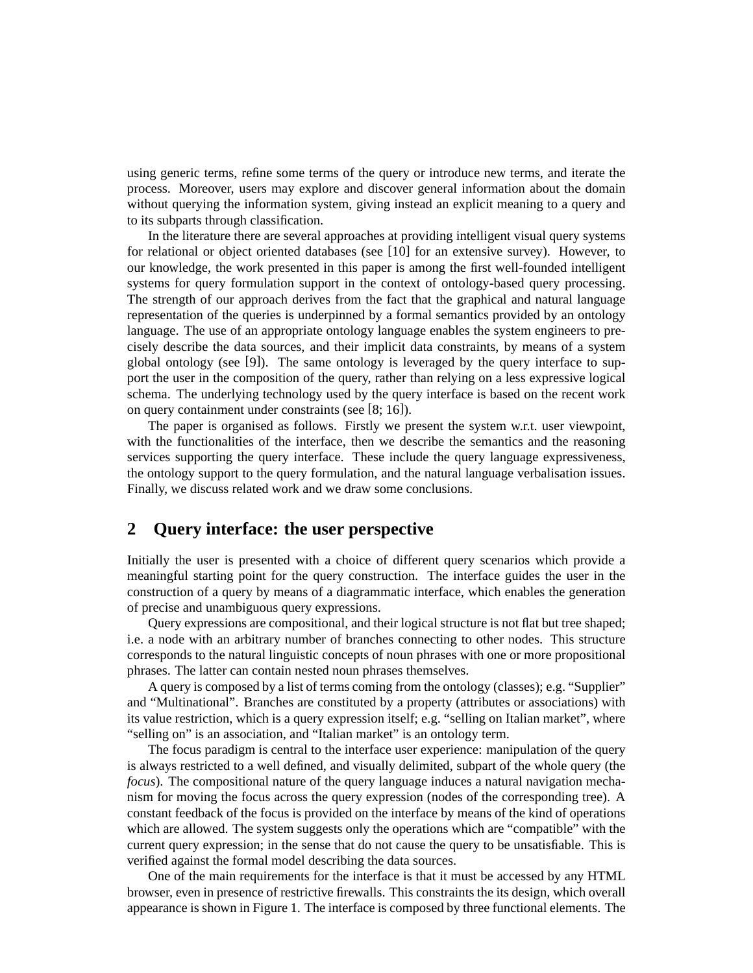using generic terms, refine some terms of the query or introduce new terms, and iterate the process. Moreover, users may explore and discover general information about the domain without querying the information system, giving instead an explicit meaning to a query and to its subparts through classification.

In the literature there are several approaches at providing intelligent visual query systems for relational or object oriented databases (see [10] for an extensive survey). However, to our knowledge, the work presented in this paper is among the first well-founded intelligent systems for query formulation support in the context of ontology-based query processing. The strength of our approach derives from the fact that the graphical and natural language representation of the queries is underpinned by a formal semantics provided by an ontology language. The use of an appropriate ontology language enables the system engineers to precisely describe the data sources, and their implicit data constraints, by means of a system global ontology (see [9]). The same ontology is leveraged by the query interface to support the user in the composition of the query, rather than relying on a less expressive logical schema. The underlying technology used by the query interface is based on the recent work on query containment under constraints (see [8; 16]).

The paper is organised as follows. Firstly we present the system w.r.t. user viewpoint, with the functionalities of the interface, then we describe the semantics and the reasoning services supporting the query interface. These include the query language expressiveness, the ontology support to the query formulation, and the natural language verbalisation issues. Finally, we discuss related work and we draw some conclusions.

# **2 Query interface: the user perspective**

Initially the user is presented with a choice of different query scenarios which provide a meaningful starting point for the query construction. The interface guides the user in the construction of a query by means of a diagrammatic interface, which enables the generation of precise and unambiguous query expressions.

Query expressions are compositional, and their logical structure is not flat but tree shaped; i.e. a node with an arbitrary number of branches connecting to other nodes. This structure corresponds to the natural linguistic concepts of noun phrases with one or more propositional phrases. The latter can contain nested noun phrases themselves.

A query is composed by a list of terms coming from the ontology (classes); e.g. "Supplier" and "Multinational". Branches are constituted by a property (attributes or associations) with its value restriction, which is a query expression itself; e.g. "selling on Italian market", where "selling on" is an association, and "Italian market" is an ontology term.

The focus paradigm is central to the interface user experience: manipulation of the query is always restricted to a well defined, and visually delimited, subpart of the whole query (the *focus*). The compositional nature of the query language induces a natural navigation mechanism for moving the focus across the query expression (nodes of the corresponding tree). A constant feedback of the focus is provided on the interface by means of the kind of operations which are allowed. The system suggests only the operations which are "compatible" with the current query expression; in the sense that do not cause the query to be unsatisfiable. This is verified against the formal model describing the data sources.

One of the main requirements for the interface is that it must be accessed by any HTML browser, even in presence of restrictive firewalls. This constraints the its design, which overall appearance is shown in Figure 1. The interface is composed by three functional elements. The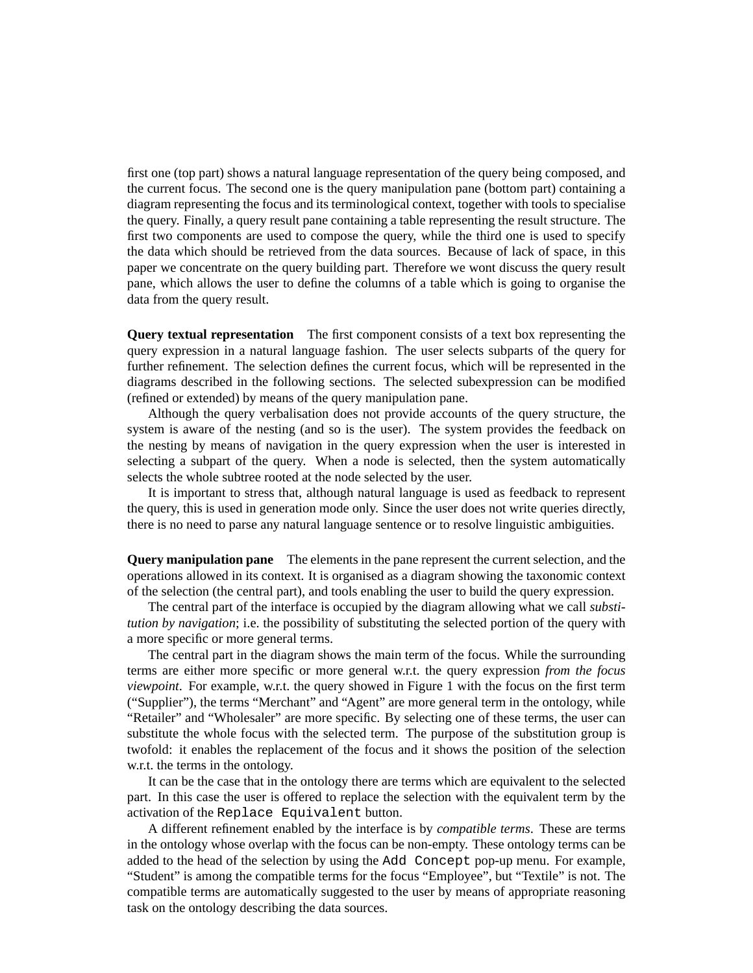first one (top part) shows a natural language representation of the query being composed, and the current focus. The second one is the query manipulation pane (bottom part) containing a diagram representing the focus and its terminological context, together with tools to specialise the query. Finally, a query result pane containing a table representing the result structure. The first two components are used to compose the query, while the third one is used to specify the data which should be retrieved from the data sources. Because of lack of space, in this paper we concentrate on the query building part. Therefore we wont discuss the query result pane, which allows the user to define the columns of a table which is going to organise the data from the query result.

**Query textual representation** The first component consists of a text box representing the query expression in a natural language fashion. The user selects subparts of the query for further refinement. The selection defines the current focus, which will be represented in the diagrams described in the following sections. The selected subexpression can be modified (refined or extended) by means of the query manipulation pane.

Although the query verbalisation does not provide accounts of the query structure, the system is aware of the nesting (and so is the user). The system provides the feedback on the nesting by means of navigation in the query expression when the user is interested in selecting a subpart of the query. When a node is selected, then the system automatically selects the whole subtree rooted at the node selected by the user.

It is important to stress that, although natural language is used as feedback to represent the query, this is used in generation mode only. Since the user does not write queries directly, there is no need to parse any natural language sentence or to resolve linguistic ambiguities.

**Query manipulation pane** The elements in the pane represent the current selection, and the operations allowed in its context. It is organised as a diagram showing the taxonomic context of the selection (the central part), and tools enabling the user to build the query expression.

The central part of the interface is occupied by the diagram allowing what we call *substitution by navigation*; i.e. the possibility of substituting the selected portion of the query with a more specific or more general terms.

The central part in the diagram shows the main term of the focus. While the surrounding terms are either more specific or more general w.r.t. the query expression *from the focus viewpoint*. For example, w.r.t. the query showed in Figure 1 with the focus on the first term ("Supplier"), the terms "Merchant" and "Agent" are more general term in the ontology, while "Retailer" and "Wholesaler" are more specific. By selecting one of these terms, the user can substitute the whole focus with the selected term. The purpose of the substitution group is twofold: it enables the replacement of the focus and it shows the position of the selection w.r.t. the terms in the ontology.

It can be the case that in the ontology there are terms which are equivalent to the selected part. In this case the user is offered to replace the selection with the equivalent term by the activation of the Replace Equivalent button.

A different refinement enabled by the interface is by *compatible terms*. These are terms in the ontology whose overlap with the focus can be non-empty. These ontology terms can be added to the head of the selection by using the Add Concept pop-up menu. For example, "Student" is among the compatible terms for the focus "Employee", but "Textile" is not. The compatible terms are automatically suggested to the user by means of appropriate reasoning task on the ontology describing the data sources.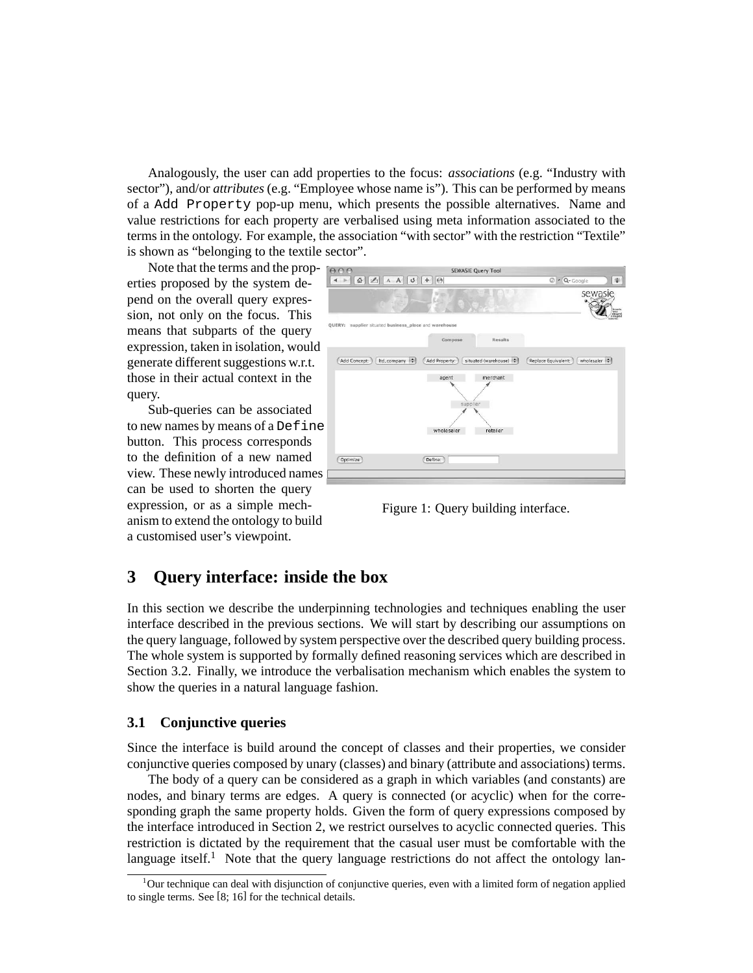Analogously, the user can add properties to the focus: *associations* (e.g. "Industry with sector"), and/or *attributes* (e.g. "Employee whose name is"). This can be performed by means of a Add Property pop-up menu, which presents the possible alternatives. Name and value restrictions for each property are verbalised using meta information associated to the terms in the ontology. For example, the association "with sector" with the restriction "Textile" is shown as "belonging to the textile sector".

Note that the terms and the properties proposed by the system depend on the overall query expression, not only on the focus. This means that subparts of the query expression, taken in isolation, would generate different suggestions w.r.t. those in their actual context in the query.

Sub-queries can be associated to new names by means of a Define button. This process corresponds to the definition of a new named view. These newly introduced names can be used to shorten the query expression, or as a simple mechanism to extend the ontology to build a customised user's viewpoint.



Figure 1: Query building interface.

# **3 Query interface: inside the box**

In this section we describe the underpinning technologies and techniques enabling the user interface described in the previous sections. We will start by describing our assumptions on the query language, followed by system perspective over the described query building process. The whole system is supported by formally defined reasoning services which are described in Section 3.2. Finally, we introduce the verbalisation mechanism which enables the system to show the queries in a natural language fashion.

### **3.1 Conjunctive queries**

Since the interface is build around the concept of classes and their properties, we consider conjunctive queries composed by unary (classes) and binary (attribute and associations) terms.

The body of a query can be considered as a graph in which variables (and constants) are nodes, and binary terms are edges. A query is connected (or acyclic) when for the corresponding graph the same property holds. Given the form of query expressions composed by the interface introduced in Section 2, we restrict ourselves to acyclic connected queries. This restriction is dictated by the requirement that the casual user must be comfortable with the language itself.<sup>1</sup> Note that the query language restrictions do not affect the ontology lan-

<sup>&</sup>lt;sup>1</sup>Our technique can deal with disjunction of conjunctive queries, even with a limited form of negation applied to single terms. See [8; 16] for the technical details.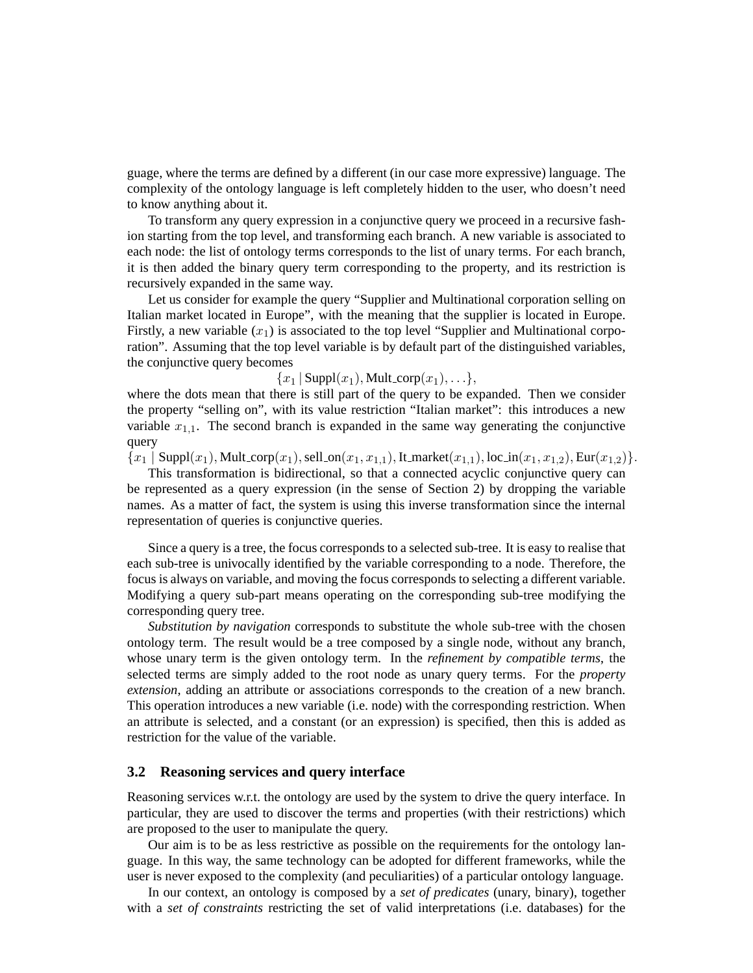guage, where the terms are defined by a different (in our case more expressive) language. The complexity of the ontology language is left completely hidden to the user, who doesn't need to know anything about it.

To transform any query expression in a conjunctive query we proceed in a recursive fashion starting from the top level, and transforming each branch. A new variable is associated to each node: the list of ontology terms corresponds to the list of unary terms. For each branch, it is then added the binary query term corresponding to the property, and its restriction is recursively expanded in the same way.

Let us consider for example the query "Supplier and Multinational corporation selling on Italian market located in Europe", with the meaning that the supplier is located in Europe. Firstly, a new variable  $(x_1)$  is associated to the top level "Supplier and Multinational corporation". Assuming that the top level variable is by default part of the distinguished variables, the conjunctive query becomes

### ${x_1 | \text{Suppl}(x_1), \text{Mult\_corp}(x_1), \ldots},$

where the dots mean that there is still part of the query to be expanded. Then we consider the property "selling on", with its value restriction "Italian market": this introduces a new variable  $x_{1,1}$ . The second branch is expanded in the same way generating the conjunctive query

 ${x_1 | \text{Suppl}(x_1), \text{Mult\_corp}(x_1), \text{sell\_on}(x_1, x_{1,1}), \text{It\_market}(x_{1,1}), \text{loc\_in}(x_1, x_{1,2}), \text{Eur}(x_{1,2})}.$ 

This transformation is bidirectional, so that a connected acyclic conjunctive query can be represented as a query expression (in the sense of Section 2) by dropping the variable names. As a matter of fact, the system is using this inverse transformation since the internal representation of queries is conjunctive queries.

Since a query is a tree, the focus corresponds to a selected sub-tree. It is easy to realise that each sub-tree is univocally identified by the variable corresponding to a node. Therefore, the focus is always on variable, and moving the focus corresponds to selecting a different variable. Modifying a query sub-part means operating on the corresponding sub-tree modifying the corresponding query tree.

*Substitution by navigation* corresponds to substitute the whole sub-tree with the chosen ontology term. The result would be a tree composed by a single node, without any branch, whose unary term is the given ontology term. In the *refinement by compatible terms*, the selected terms are simply added to the root node as unary query terms. For the *property extension*, adding an attribute or associations corresponds to the creation of a new branch. This operation introduces a new variable (i.e. node) with the corresponding restriction. When an attribute is selected, and a constant (or an expression) is specified, then this is added as restriction for the value of the variable.

#### **3.2 Reasoning services and query interface**

Reasoning services w.r.t. the ontology are used by the system to drive the query interface. In particular, they are used to discover the terms and properties (with their restrictions) which are proposed to the user to manipulate the query.

Our aim is to be as less restrictive as possible on the requirements for the ontology language. In this way, the same technology can be adopted for different frameworks, while the user is never exposed to the complexity (and peculiarities) of a particular ontology language.

In our context, an ontology is composed by a *set of predicates* (unary, binary), together with a *set of constraints* restricting the set of valid interpretations (i.e. databases) for the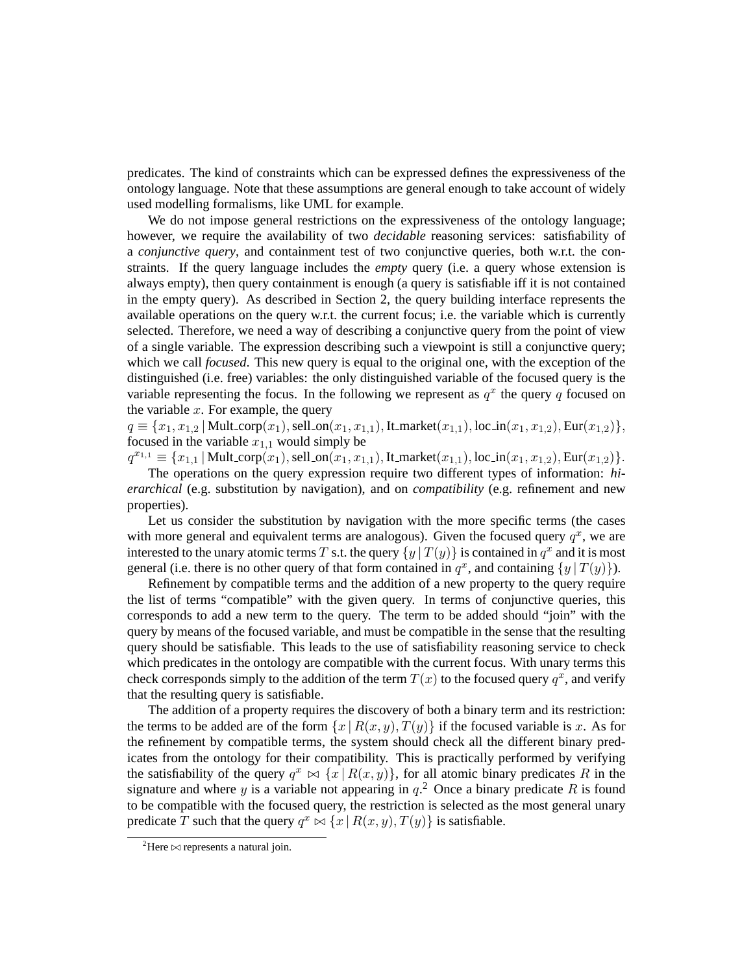predicates. The kind of constraints which can be expressed defines the expressiveness of the ontology language. Note that these assumptions are general enough to take account of widely used modelling formalisms, like UML for example.

We do not impose general restrictions on the expressiveness of the ontology language; however, we require the availability of two *decidable* reasoning services: satisfiability of a *conjunctive query*, and containment test of two conjunctive queries, both w.r.t. the constraints. If the query language includes the *empty* query (i.e. a query whose extension is always empty), then query containment is enough (a query is satisfiable iff it is not contained in the empty query). As described in Section 2, the query building interface represents the available operations on the query w.r.t. the current focus; i.e. the variable which is currently selected. Therefore, we need a way of describing a conjunctive query from the point of view of a single variable. The expression describing such a viewpoint is still a conjunctive query; which we call *focused*. This new query is equal to the original one, with the exception of the distinguished (i.e. free) variables: the only distinguished variable of the focused query is the variable representing the focus. In the following we represent as  $q<sup>x</sup>$  the query q focused on the variable  $x$ . For example, the query

 $q \equiv \{x_1, x_{1,2} \mid \text{Mult\_corp}(x_1), \text{sell\_on}(x_1, x_{1,1}), \text{It\_market}(x_{1,1}), \text{loc\_in}(x_1, x_{1,2}), \text{Eur}(x_{1,2})\},\$ focused in the variable  $x_{1,1}$  would simply be

 $q^{x_{1,1}} \equiv \{x_{1,1} \mid \text{Mult\_corp}(x_1), \text{sell\_on}(x_1, x_{1,1}), \text{It\_market}(x_{1,1}), \text{loc\_in}(x_1, x_{1,2}), \text{Eur}(x_{1,2})\}.$ 

The operations on the query expression require two different types of information: *hierarchical* (e.g. substitution by navigation), and on *compatibility* (e.g. refinement and new properties).

Let us consider the substitution by navigation with the more specific terms (the cases with more general and equivalent terms are analogous). Given the focused query  $q^x$ , we are interested to the unary atomic terms T s.t. the query  $\{y | T(y)\}$  is contained in  $q^x$  and it is most general (i.e. there is no other query of that form contained in  $q^x$ , and containing  $\{y | T(y)\}$ ).

Refinement by compatible terms and the addition of a new property to the query require the list of terms "compatible" with the given query. In terms of conjunctive queries, this corresponds to add a new term to the query. The term to be added should "join" with the query by means of the focused variable, and must be compatible in the sense that the resulting query should be satisfiable. This leads to the use of satisfiability reasoning service to check which predicates in the ontology are compatible with the current focus. With unary terms this check corresponds simply to the addition of the term  $T(x)$  to the focused query  $q^x$ , and verify that the resulting query is satisfiable.

The addition of a property requires the discovery of both a binary term and its restriction: the terms to be added are of the form  $\{x \mid R(x, y), T(y)\}$  if the focused variable is x. As for the refinement by compatible terms, the system should check all the different binary predicates from the ontology for their compatibility. This is practically performed by verifying the satisfiability of the query  $q^x \bowtie \{x \mid R(x, y)\}\$ , for all atomic binary predicates R in the signature and where y is a variable not appearing in  $q<sup>2</sup>$  Once a binary predicate R is found to be compatible with the focused query, the restriction is selected as the most general unary predicate T such that the query  $q^x \bowtie {x | R(x, y), T(y)}$  is satisfiable.

<sup>&</sup>lt;sup>2</sup>Here  $\bowtie$  represents a natural join.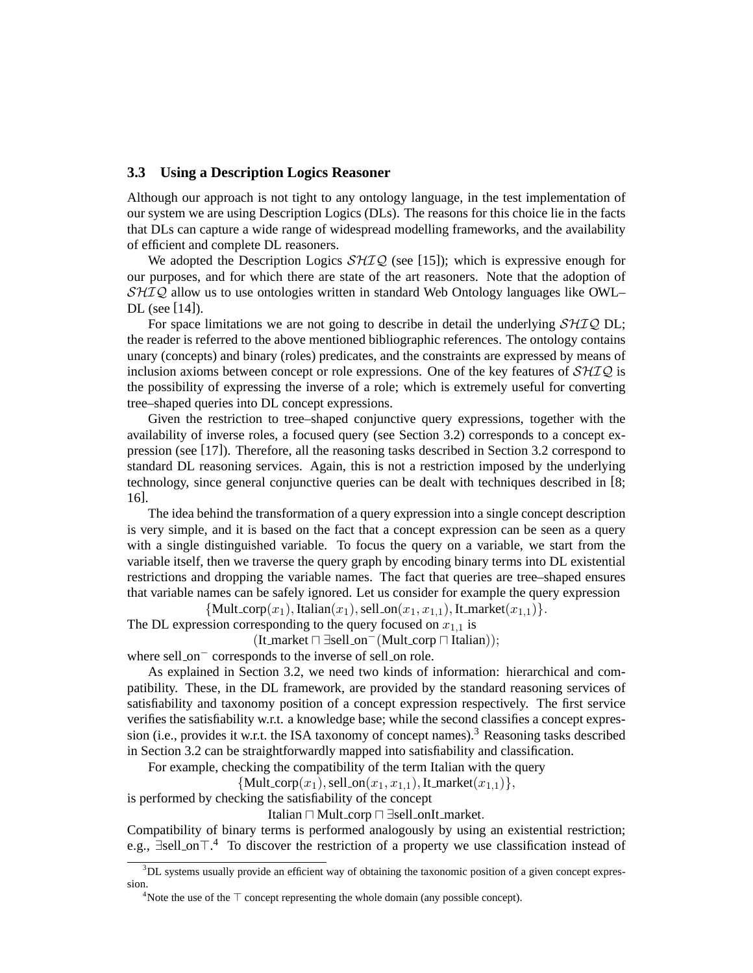### **3.3 Using a Description Logics Reasoner**

Although our approach is not tight to any ontology language, in the test implementation of our system we are using Description Logics (DLs). The reasons for this choice lie in the facts that DLs can capture a wide range of widespread modelling frameworks, and the availability of efficient and complete DL reasoners.

We adopted the Description Logics  $\mathcal{SHIQ}$  (see [15]); which is expressive enough for our purposes, and for which there are state of the art reasoners. Note that the adoption of  $\mathcal{SHIQ}$  allow us to use ontologies written in standard Web Ontology languages like OWL– DL (see [14]).

For space limitations we are not going to describe in detail the underlying  $\mathcal{SHIQ}$  DL; the reader is referred to the above mentioned bibliographic references. The ontology contains unary (concepts) and binary (roles) predicates, and the constraints are expressed by means of inclusion axioms between concept or role expressions. One of the key features of  $\mathcal{SHQ}$  is the possibility of expressing the inverse of a role; which is extremely useful for converting tree–shaped queries into DL concept expressions.

Given the restriction to tree–shaped conjunctive query expressions, together with the availability of inverse roles, a focused query (see Section 3.2) corresponds to a concept expression (see [17]). Therefore, all the reasoning tasks described in Section 3.2 correspond to standard DL reasoning services. Again, this is not a restriction imposed by the underlying technology, since general conjunctive queries can be dealt with techniques described in [8; 16].

The idea behind the transformation of a query expression into a single concept description is very simple, and it is based on the fact that a concept expression can be seen as a query with a single distinguished variable. To focus the query on a variable, we start from the variable itself, then we traverse the query graph by encoding binary terms into DL existential restrictions and dropping the variable names. The fact that queries are tree–shaped ensures that variable names can be safely ignored. Let us consider for example the query expression

 $\{\text{Mult\_corp}(x_1), \text{Italian}(x_1), \text{sell\_on}(x_1, x_{1,1}), \text{It\_market}(x_{1,1})\}.$ 

The DL expression corresponding to the query focused on  $x_{1,1}$  is

(It\_market  $\Box$  ∃sell\_on<sup>-</sup>(Mult\_corp  $\Box$  Italian));

where sell\_on<sup>−</sup> corresponds to the inverse of sell\_on role.

As explained in Section 3.2, we need two kinds of information: hierarchical and compatibility. These, in the DL framework, are provided by the standard reasoning services of satisfiability and taxonomy position of a concept expression respectively. The first service verifies the satisfiability w.r.t. a knowledge base; while the second classifies a concept expression (i.e., provides it w.r.t. the ISA taxonomy of concept names).<sup>3</sup> Reasoning tasks described in Section 3.2 can be straightforwardly mapped into satisfiability and classification.

For example, checking the compatibility of the term Italian with the query

 $\{Mult\_corp(x_1), sell\_on(x_1, x_{1,1}), It\_market(x_{1,1})\},\$ 

is performed by checking the satisfiability of the concept

Italian  $\Box$  Mult\_corp  $\Box$   $\exists$ sell\_onIt\_market.

Compatibility of binary terms is performed analogously by using an existential restriction; e.g.,  $\exists$ sell\_on $\top$ .<sup>4</sup> To discover the restriction of a property we use classification instead of

 $3$ DL systems usually provide an efficient way of obtaining the taxonomic position of a given concept expression.

<sup>&</sup>lt;sup>4</sup>Note the use of the  $\top$  concept representing the whole domain (any possible concept).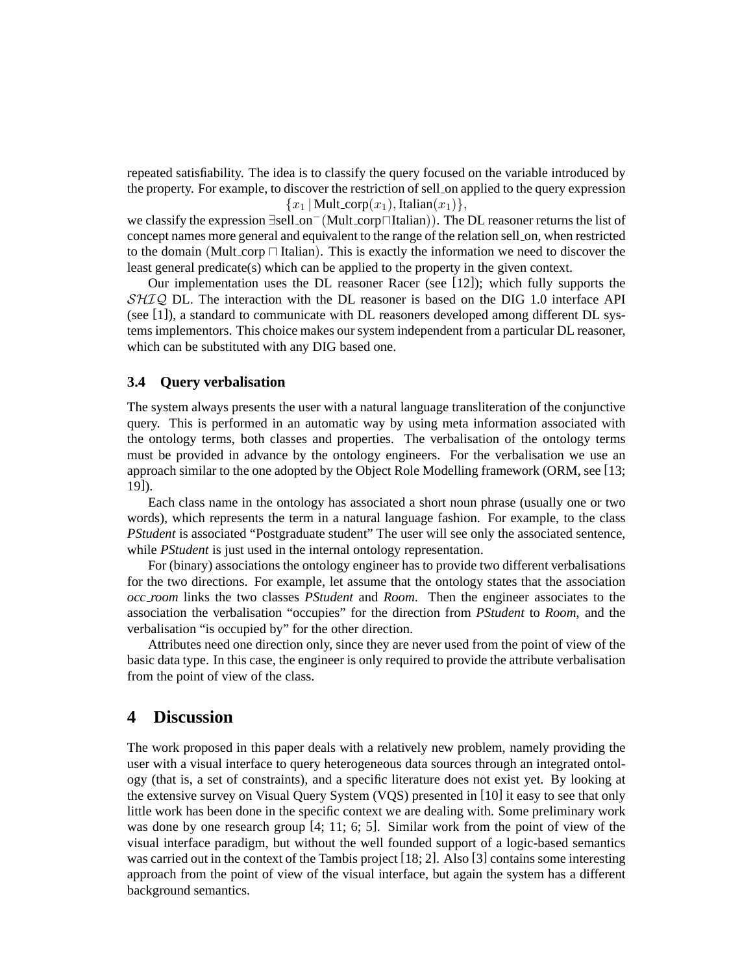repeated satisfiability. The idea is to classify the query focused on the variable introduced by the property. For example, to discover the restriction of sell on applied to the query expression  ${x_1 | Mult\_corp(x_1), Italian(x_1)},$ 

we classify the expression ∃sell\_on<sup>-</sup>(Mult\_corp⊓Italian)). The DL reasoner returns the list of concept names more general and equivalent to the range of the relation sell on, when restricted to the domain (Mult corp  $\Box$  Italian). This is exactly the information we need to discover the least general predicate(s) which can be applied to the property in the given context.

Our implementation uses the DL reasoner Racer (see [12]); which fully supports the  $\mathcal{SHIQ}$  DL. The interaction with the DL reasoner is based on the DIG 1.0 interface API (see [1]), a standard to communicate with DL reasoners developed among different DL systems implementors. This choice makes our system independent from a particular DL reasoner, which can be substituted with any DIG based one.

### **3.4 Query verbalisation**

The system always presents the user with a natural language transliteration of the conjunctive query. This is performed in an automatic way by using meta information associated with the ontology terms, both classes and properties. The verbalisation of the ontology terms must be provided in advance by the ontology engineers. For the verbalisation we use an approach similar to the one adopted by the Object Role Modelling framework (ORM, see [13; 19]).

Each class name in the ontology has associated a short noun phrase (usually one or two words), which represents the term in a natural language fashion. For example, to the class *PStudent* is associated "Postgraduate student" The user will see only the associated sentence, while *PStudent* is just used in the internal ontology representation.

For (binary) associations the ontology engineer has to provide two different verbalisations for the two directions. For example, let assume that the ontology states that the association *occ room* links the two classes *PStudent* and *Room*. Then the engineer associates to the association the verbalisation "occupies" for the direction from *PStudent* to *Room*, and the verbalisation "is occupied by" for the other direction.

Attributes need one direction only, since they are never used from the point of view of the basic data type. In this case, the engineer is only required to provide the attribute verbalisation from the point of view of the class.

## **4 Discussion**

The work proposed in this paper deals with a relatively new problem, namely providing the user with a visual interface to query heterogeneous data sources through an integrated ontology (that is, a set of constraints), and a specific literature does not exist yet. By looking at the extensive survey on Visual Query System (VQS) presented in [10] it easy to see that only little work has been done in the specific context we are dealing with. Some preliminary work was done by one research group [4; 11; 6; 5]. Similar work from the point of view of the visual interface paradigm, but without the well founded support of a logic-based semantics was carried out in the context of the Tambis project [18; 2]. Also [3] contains some interesting approach from the point of view of the visual interface, but again the system has a different background semantics.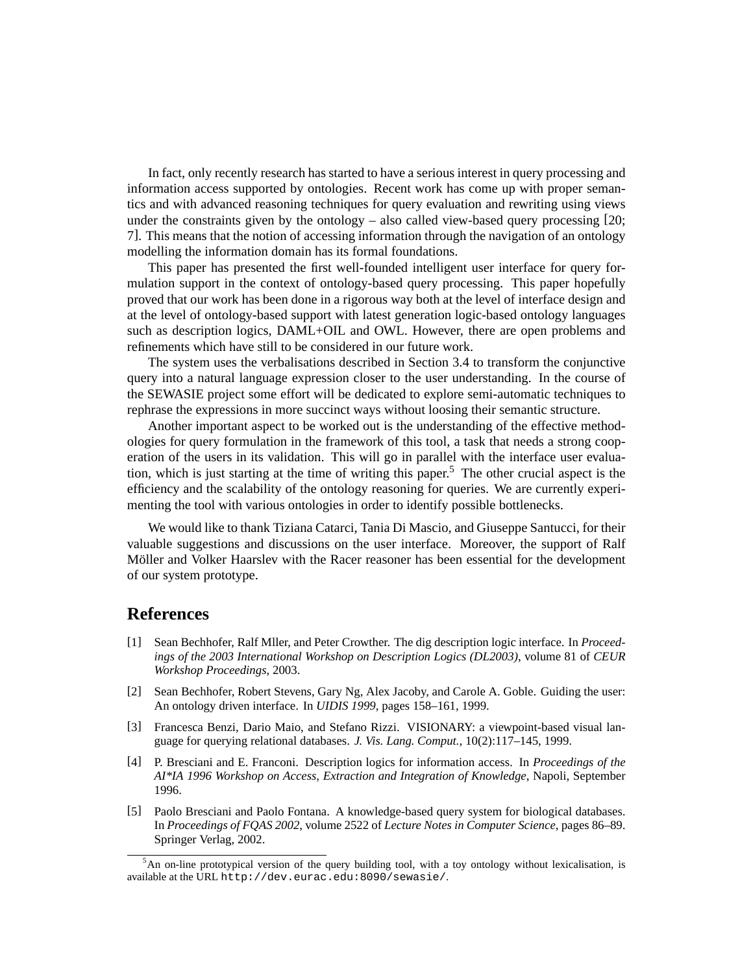In fact, only recently research has started to have a serious interest in query processing and information access supported by ontologies. Recent work has come up with proper semantics and with advanced reasoning techniques for query evaluation and rewriting using views under the constraints given by the ontology – also called view-based query processing [20; 7]. This means that the notion of accessing information through the navigation of an ontology modelling the information domain has its formal foundations.

This paper has presented the first well-founded intelligent user interface for query formulation support in the context of ontology-based query processing. This paper hopefully proved that our work has been done in a rigorous way both at the level of interface design and at the level of ontology-based support with latest generation logic-based ontology languages such as description logics, DAML+OIL and OWL. However, there are open problems and refinements which have still to be considered in our future work.

The system uses the verbalisations described in Section 3.4 to transform the conjunctive query into a natural language expression closer to the user understanding. In the course of the SEWASIE project some effort will be dedicated to explore semi-automatic techniques to rephrase the expressions in more succinct ways without loosing their semantic structure.

Another important aspect to be worked out is the understanding of the effective methodologies for query formulation in the framework of this tool, a task that needs a strong cooperation of the users in its validation. This will go in parallel with the interface user evaluation, which is just starting at the time of writing this paper.<sup>5</sup> The other crucial aspect is the efficiency and the scalability of the ontology reasoning for queries. We are currently experimenting the tool with various ontologies in order to identify possible bottlenecks.

We would like to thank Tiziana Catarci, Tania Di Mascio, and Giuseppe Santucci, for their valuable suggestions and discussions on the user interface. Moreover, the support of Ralf Möller and Volker Haarslev with the Racer reasoner has been essential for the development of our system prototype.

# **References**

- [1] Sean Bechhofer, Ralf Mller, and Peter Crowther. The dig description logic interface. In *Proceedings of the 2003 International Workshop on Description Logics (DL2003)*, volume 81 of *CEUR Workshop Proceedings*, 2003.
- [2] Sean Bechhofer, Robert Stevens, Gary Ng, Alex Jacoby, and Carole A. Goble. Guiding the user: An ontology driven interface. In *UIDIS 1999*, pages 158–161, 1999.
- [3] Francesca Benzi, Dario Maio, and Stefano Rizzi. VISIONARY: a viewpoint-based visual language for querying relational databases. *J. Vis. Lang. Comput.*, 10(2):117–145, 1999.
- [4] P. Bresciani and E. Franconi. Description logics for information access. In *Proceedings of the AI\*IA 1996 Workshop on Access, Extraction and Integration of Knowledge*, Napoli, September 1996.
- [5] Paolo Bresciani and Paolo Fontana. A knowledge-based query system for biological databases. In *Proceedings of FQAS 2002*, volume 2522 of *Lecture Notes in Computer Science*, pages 86–89. Springer Verlag, 2002.

 $5$ An on-line prototypical version of the query building tool, with a toy ontology without lexicalisation, is available at the URL http://dev.eurac.edu:8090/sewasie/.